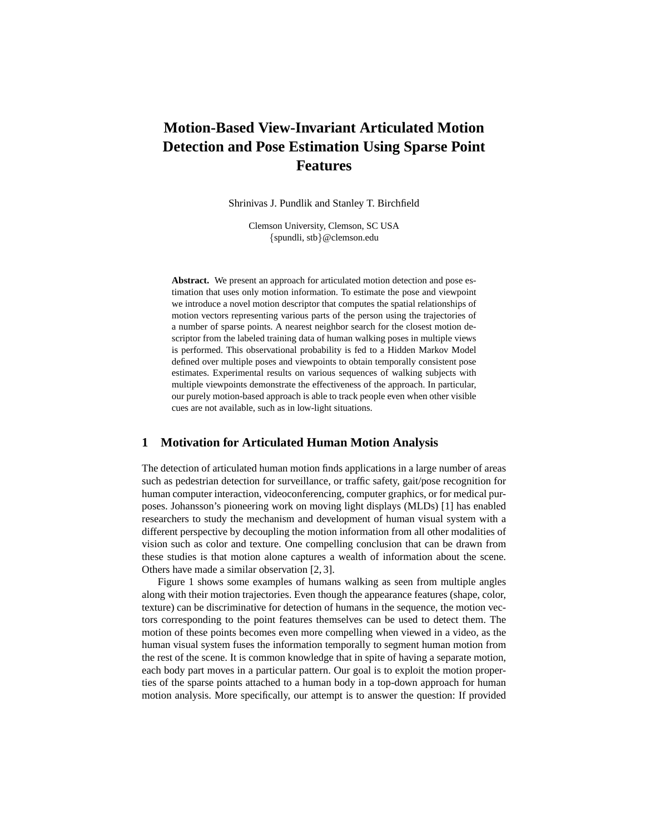# **Motion-Based View-Invariant Articulated Motion Detection and Pose Estimation Using Sparse Point Features**

Shrinivas J. Pundlik and Stanley T. Birchfield

Clemson University, Clemson, SC USA {spundli, stb}@clemson.edu

**Abstract.** We present an approach for articulated motion detection and pose estimation that uses only motion information. To estimate the pose and viewpoint we introduce a novel motion descriptor that computes the spatial relationships of motion vectors representing various parts of the person using the trajectories of a number of sparse points. A nearest neighbor search for the closest motion descriptor from the labeled training data of human walking poses in multiple views is performed. This observational probability is fed to a Hidden Markov Model defined over multiple poses and viewpoints to obtain temporally consistent pose estimates. Experimental results on various sequences of walking subjects with multiple viewpoints demonstrate the effectiveness of the approach. In particular, our purely motion-based approach is able to track people even when other visible cues are not available, such as in low-light situations.

## **1 Motivation for Articulated Human Motion Analysis**

The detection of articulated human motion finds applications in a large number of areas such as pedestrian detection for surveillance, or traffic safety, gait/pose recognition for human computer interaction, videoconferencing, computer graphics, or for medical purposes. Johansson's pioneering work on moving light displays (MLDs) [1] has enabled researchers to study the mechanism and development of human visual system with a different perspective by decoupling the motion information from all other modalities of vision such as color and texture. One compelling conclusion that can be drawn from these studies is that motion alone captures a wealth of information about the scene. Others have made a similar observation [2, 3].

Figure 1 shows some examples of humans walking as seen from multiple angles along with their motion trajectories. Even though the appearance features (shape, color, texture) can be discriminative for detection of humans in the sequence, the motion vectors corresponding to the point features themselves can be used to detect them. The motion of these points becomes even more compelling when viewed in a video, as the human visual system fuses the information temporally to segment human motion from the rest of the scene. It is common knowledge that in spite of having a separate motion, each body part moves in a particular pattern. Our goal is to exploit the motion properties of the sparse points attached to a human body in a top-down approach for human motion analysis. More specifically, our attempt is to answer the question: If provided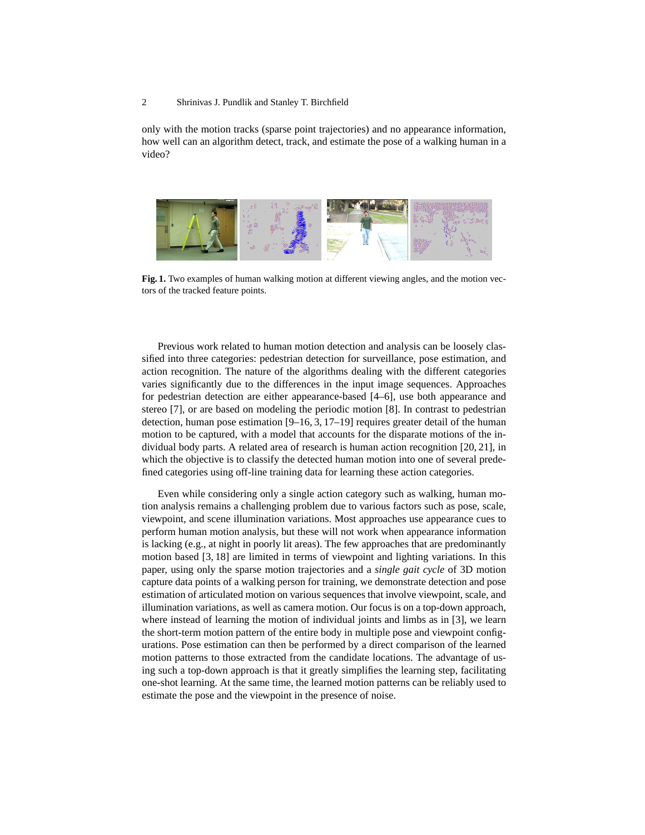#### 2 Shrinivas J. Pundlik and Stanley T. Birchfield

only with the motion tracks (sparse point trajectories) and no appearance information, how well can an algorithm detect, track, and estimate the pose of a walking human in a video?



**Fig. 1.** Two examples of human walking motion at different viewing angles, and the motion vectors of the tracked feature points.

Previous work related to human motion detection and analysis can be loosely classified into three categories: pedestrian detection for surveillance, pose estimation, and action recognition. The nature of the algorithms dealing with the different categories varies significantly due to the differences in the input image sequences. Approaches for pedestrian detection are either appearance-based [4–6], use both appearance and stereo [7], or are based on modeling the periodic motion [8]. In contrast to pedestrian detection, human pose estimation [9–16, 3, 17–19] requires greater detail of the human motion to be captured, with a model that accounts for the disparate motions of the individual body parts. A related area of research is human action recognition [20, 21], in which the objective is to classify the detected human motion into one of several predefined categories using off-line training data for learning these action categories.

Even while considering only a single action category such as walking, human motion analysis remains a challenging problem due to various factors such as pose, scale, viewpoint, and scene illumination variations. Most approaches use appearance cues to perform human motion analysis, but these will not work when appearance information is lacking (e.g., at night in poorly lit areas). The few approaches that are predominantly motion based [3, 18] are limited in terms of viewpoint and lighting variations. In this paper, using only the sparse motion trajectories and a *single gait cycle* of 3D motion capture data points of a walking person for training, we demonstrate detection and pose estimation of articulated motion on various sequences that involve viewpoint, scale, and illumination variations, as well as camera motion. Our focus is on a top-down approach, where instead of learning the motion of individual joints and limbs as in [3], we learn the short-term motion pattern of the entire body in multiple pose and viewpoint configurations. Pose estimation can then be performed by a direct comparison of the learned motion patterns to those extracted from the candidate locations. The advantage of using such a top-down approach is that it greatly simplifies the learning step, facilitating one-shot learning. At the same time, the learned motion patterns can be reliably used to estimate the pose and the viewpoint in the presence of noise.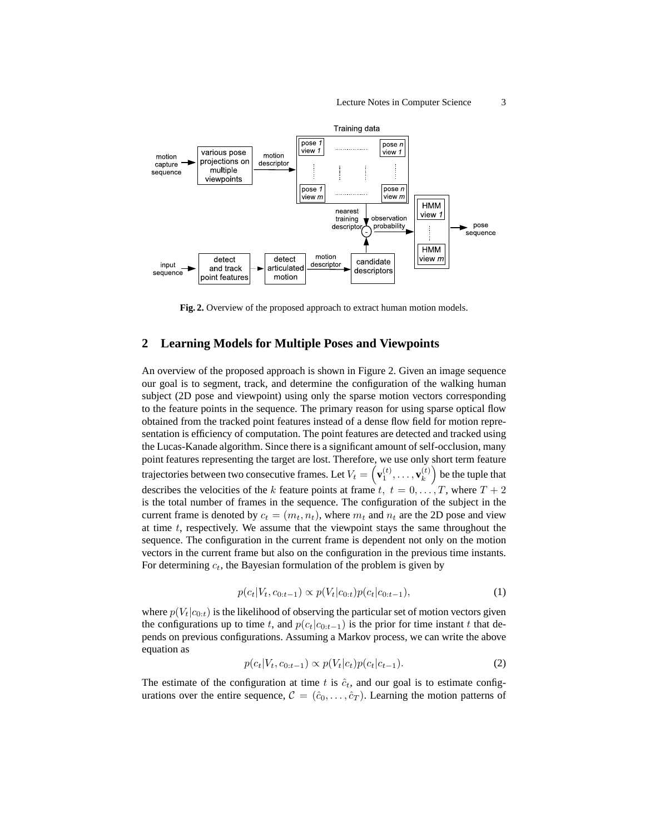

**Fig. 2.** Overview of the proposed approach to extract human motion models.

## **2 Learning Models for Multiple Poses and Viewpoints**

An overview of the proposed approach is shown in Figure 2. Given an image sequence our goal is to segment, track, and determine the configuration of the walking human subject (2D pose and viewpoint) using only the sparse motion vectors corresponding to the feature points in the sequence. The primary reason for using sparse optical flow obtained from the tracked point features instead of a dense flow field for motion representation is efficiency of computation. The point features are detected and tracked using the Lucas-Kanade algorithm. Since there is a significant amount of self-occlusion, many point features representing the target are lost. Therefore, we use only short term feature trajectories between two consecutive frames. Let  $V_t = \left(\mathbf{v}^{(t)}_1, \dots, \mathbf{v}^{(t)}_k\right)$  $\binom{t}{k}$  be the tuple that describes the velocities of the k feature points at frame t,  $t = 0, \ldots, T$ , where  $T + 2$ is the total number of frames in the sequence. The configuration of the subject in the current frame is denoted by  $c_t = (m_t, n_t)$ , where  $m_t$  and  $n_t$  are the 2D pose and view at time  $t$ , respectively. We assume that the viewpoint stays the same throughout the sequence. The configuration in the current frame is dependent not only on the motion vectors in the current frame but also on the configuration in the previous time instants. For determining  $c_t$ , the Bayesian formulation of the problem is given by

$$
p(c_t|V_t, c_{0:t-1}) \propto p(V_t|c_{0:t})p(c_t|c_{0:t-1}),
$$
\n(1)

where  $p(V_t|c_{0:t})$  is the likelihood of observing the particular set of motion vectors given the configurations up to time t, and  $p(c_t|c_{0:t-1})$  is the prior for time instant t that depends on previous configurations. Assuming a Markov process, we can write the above equation as

$$
p(c_t|V_t, c_{0:t-1}) \propto p(V_t|c_t)p(c_t|c_{t-1}).
$$
\n(2)

The estimate of the configuration at time t is  $\hat{c}_t$ , and our goal is to estimate configurations over the entire sequence,  $\mathcal{C} = (\hat{c}_0, \dots, \hat{c}_T)$ . Learning the motion patterns of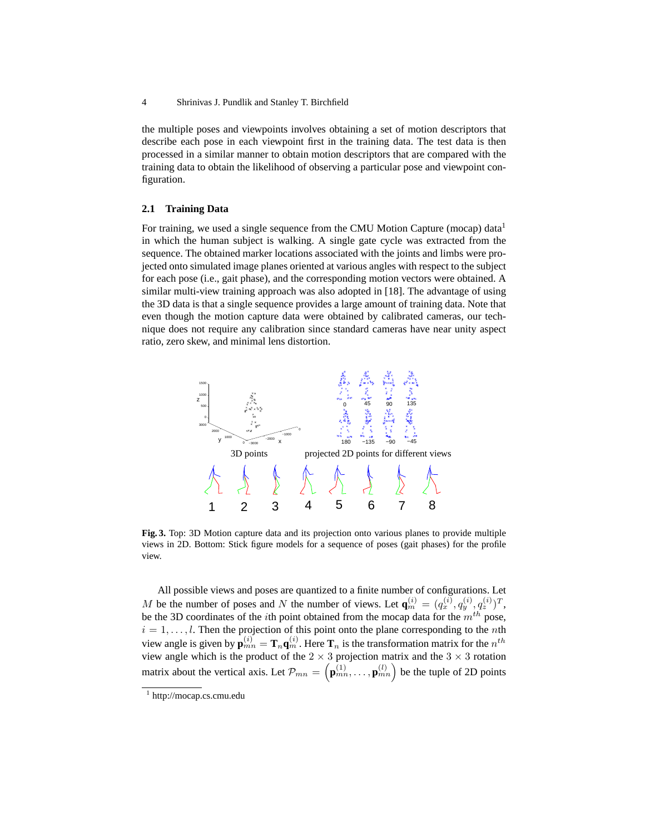the multiple poses and viewpoints involves obtaining a set of motion descriptors that describe each pose in each viewpoint first in the training data. The test data is then processed in a similar manner to obtain motion descriptors that are compared with the training data to obtain the likelihood of observing a particular pose and viewpoint configuration.

### **2.1 Training Data**

For training, we used a single sequence from the CMU Motion Capture (mocap) data<sup>1</sup> in which the human subject is walking. A single gate cycle was extracted from the sequence. The obtained marker locations associated with the joints and limbs were projected onto simulated image planes oriented at various angles with respect to the subject for each pose (i.e., gait phase), and the corresponding motion vectors were obtained. A similar multi-view training approach was also adopted in [18]. The advantage of using the 3D data is that a single sequence provides a large amount of training data. Note that even though the motion capture data were obtained by calibrated cameras, our technique does not require any calibration since standard cameras have near unity aspect ratio, zero skew, and minimal lens distortion.



**Fig. 3.** Top: 3D Motion capture data and its projection onto various planes to provide multiple views in 2D. Bottom: Stick figure models for a sequence of poses (gait phases) for the profile view.

All possible views and poses are quantized to a finite number of configurations. Let M be the number of poses and N the number of views. Let  $\mathbf{q}_m^{(i)} = (q_x^{(i)}, q_y^{(i)}, q_z^{(i)})^T$ , be the 3D coordinates of the *i*th point obtained from the mocap data for the  $m^{th}$  pose,  $i = 1, \ldots, l$ . Then the projection of this point onto the plane corresponding to the *n*th view angle is given by  $\mathbf{p}_{mn}^{(i)} = \mathbf{T}_n \mathbf{q}_m^{(i)}$ . Here  $\mathbf{T}_n$  is the transformation matrix for the  $n^{th}$ view angle which is the product of the  $2 \times 3$  projection matrix and the  $3 \times 3$  rotation matrix about the vertical axis. Let  $\mathcal{P}_{mn} = \left(\mathbf{p}_{mn}^{(1)}, \ldots, \mathbf{p}_{mn}^{(l)}\right)$  be the tuple of 2D points

<sup>1</sup> http://mocap.cs.cmu.edu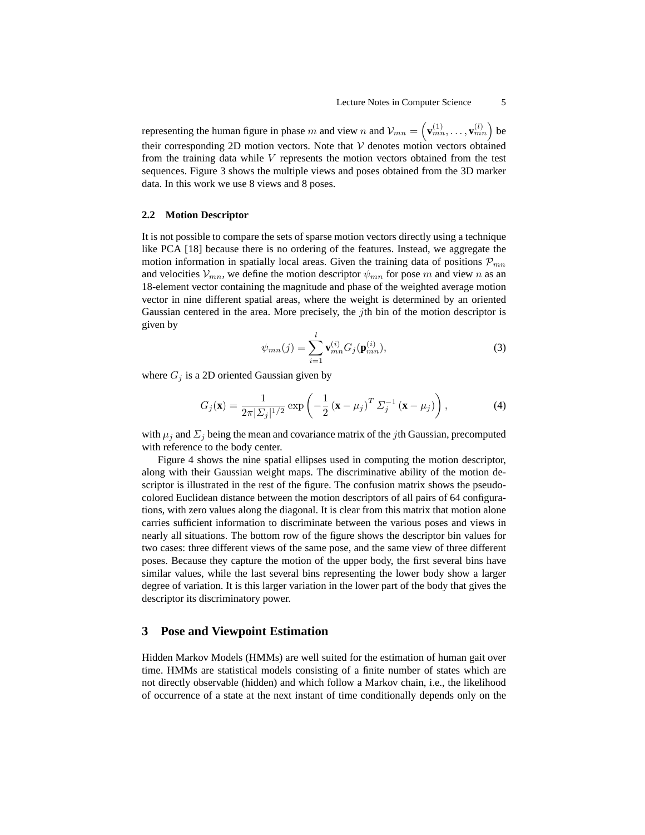representing the human figure in phase m and view n and  $V_{mn} = (\mathbf{v}_{mn}^{(1)}, \dots, \mathbf{v}_{mn}^{(l)})$  be their corresponding 2D motion vectors. Note that  $V$  denotes motion vectors obtained from the training data while  $V$  represents the motion vectors obtained from the test sequences. Figure 3 shows the multiple views and poses obtained from the 3D marker data. In this work we use 8 views and 8 poses.

#### **2.2 Motion Descriptor**

It is not possible to compare the sets of sparse motion vectors directly using a technique like PCA [18] because there is no ordering of the features. Instead, we aggregate the motion information in spatially local areas. Given the training data of positions  $\mathcal{P}_{mn}$ and velocities  $V_{mn}$ , we define the motion descriptor  $\psi_{mn}$  for pose m and view n as an 18-element vector containing the magnitude and phase of the weighted average motion vector in nine different spatial areas, where the weight is determined by an oriented Gaussian centered in the area. More precisely, the jth bin of the motion descriptor is given by

$$
\psi_{mn}(j) = \sum_{i=1}^{l} \mathbf{v}_{mn}^{(i)} G_j(\mathbf{p}_{mn}^{(i)}),
$$
\n(3)

where  $G_j$  is a 2D oriented Gaussian given by

$$
G_j(\mathbf{x}) = \frac{1}{2\pi |\Sigma_j|^{1/2}} \exp\left(-\frac{1}{2} (\mathbf{x} - \mu_j)^T \Sigma_j^{-1} (\mathbf{x} - \mu_j)\right),\tag{4}
$$

with  $\mu_j$  and  $\Sigma_j$  being the mean and covariance matrix of the jth Gaussian, precomputed with reference to the body center.

Figure 4 shows the nine spatial ellipses used in computing the motion descriptor, along with their Gaussian weight maps. The discriminative ability of the motion descriptor is illustrated in the rest of the figure. The confusion matrix shows the pseudocolored Euclidean distance between the motion descriptors of all pairs of 64 configurations, with zero values along the diagonal. It is clear from this matrix that motion alone carries sufficient information to discriminate between the various poses and views in nearly all situations. The bottom row of the figure shows the descriptor bin values for two cases: three different views of the same pose, and the same view of three different poses. Because they capture the motion of the upper body, the first several bins have similar values, while the last several bins representing the lower body show a larger degree of variation. It is this larger variation in the lower part of the body that gives the descriptor its discriminatory power.

## **3 Pose and Viewpoint Estimation**

Hidden Markov Models (HMMs) are well suited for the estimation of human gait over time. HMMs are statistical models consisting of a finite number of states which are not directly observable (hidden) and which follow a Markov chain, i.e., the likelihood of occurrence of a state at the next instant of time conditionally depends only on the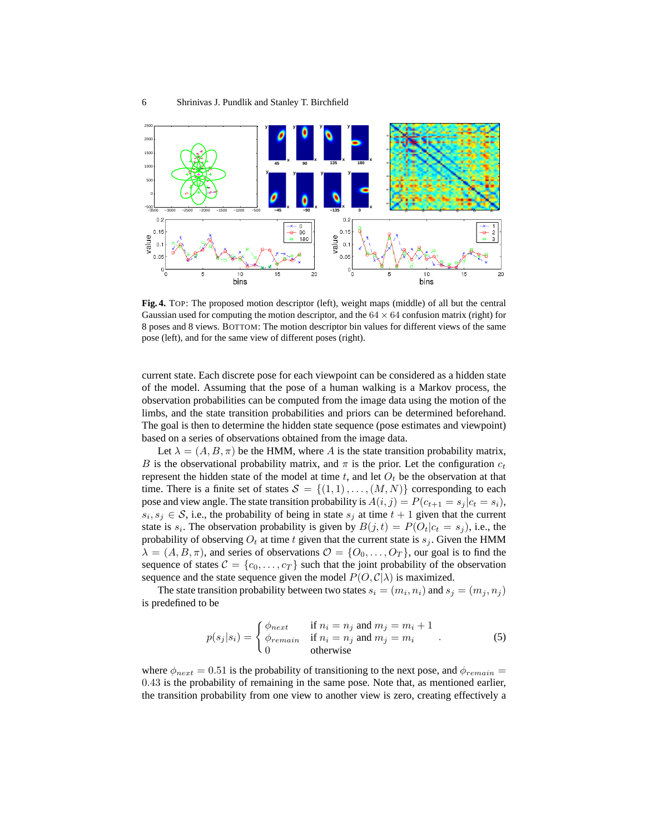

**Fig. 4.** TOP: The proposed motion descriptor (left), weight maps (middle) of all but the central Gaussian used for computing the motion descriptor, and the  $64 \times 64$  confusion matrix (right) for 8 poses and 8 views. BOTTOM: The motion descriptor bin values for different views of the same pose (left), and for the same view of different poses (right).

current state. Each discrete pose for each viewpoint can be considered as a hidden state of the model. Assuming that the pose of a human walking is a Markov process, the observation probabilities can be computed from the image data using the motion of the limbs, and the state transition probabilities and priors can be determined beforehand. The goal is then to determine the hidden state sequence (pose estimates and viewpoint) based on a series of observations obtained from the image data.

Let  $\lambda = (A, B, \pi)$  be the HMM, where A is the state transition probability matrix, B is the observational probability matrix, and  $\pi$  is the prior. Let the configuration  $c_t$ represent the hidden state of the model at time t, and let  $O_t$  be the observation at that time. There is a finite set of states  $S = \{(1, 1), \ldots, (M, N)\}\)$  corresponding to each pose and view angle. The state transition probability is  $A(i, j) = P(c_{t+1} = s_j | c_t = s_i)$ ,  $s_i, s_j \in \mathcal{S}$ , i.e., the probability of being in state  $s_j$  at time  $t + 1$  given that the current state is  $s_i$ . The observation probability is given by  $B(j,t) = P(O_t|c_t = s_j)$ , i.e., the probability of observing  $O_t$  at time t given that the current state is  $s_j$ . Given the HMM  $\lambda = (A, B, \pi)$ , and series of observations  $\mathcal{O} = \{O_0, \ldots, O_T\}$ , our goal is to find the sequence of states  $C = \{c_0, \ldots, c_T\}$  such that the joint probability of the observation sequence and the state sequence given the model  $P(O, C | \lambda)$  is maximized.

The state transition probability between two states  $s_i = (m_i, n_i)$  and  $s_j = (m_j, n_j)$ is predefined to be

$$
p(s_j|s_i) = \begin{cases} \phi_{next} & \text{if } n_i = n_j \text{ and } m_j = m_i + 1\\ \phi_{remain} & \text{if } n_i = n_j \text{ and } m_j = m_i\\ 0 & \text{otherwise} \end{cases}
$$
 (5)

where  $\phi_{next} = 0.51$  is the probability of transitioning to the next pose, and  $\phi_{remain} =$ 0.43 is the probability of remaining in the same pose. Note that, as mentioned earlier, the transition probability from one view to another view is zero, creating effectively a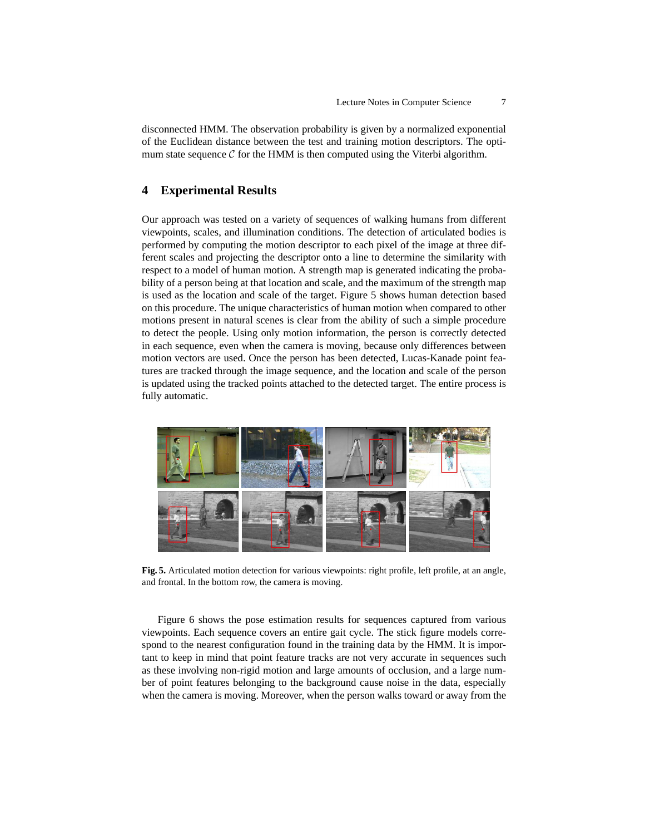disconnected HMM. The observation probability is given by a normalized exponential of the Euclidean distance between the test and training motion descriptors. The optimum state sequence  $C$  for the HMM is then computed using the Viterbi algorithm.

# **4 Experimental Results**

Our approach was tested on a variety of sequences of walking humans from different viewpoints, scales, and illumination conditions. The detection of articulated bodies is performed by computing the motion descriptor to each pixel of the image at three different scales and projecting the descriptor onto a line to determine the similarity with respect to a model of human motion. A strength map is generated indicating the probability of a person being at that location and scale, and the maximum of the strength map is used as the location and scale of the target. Figure 5 shows human detection based on this procedure. The unique characteristics of human motion when compared to other motions present in natural scenes is clear from the ability of such a simple procedure to detect the people. Using only motion information, the person is correctly detected in each sequence, even when the camera is moving, because only differences between motion vectors are used. Once the person has been detected, Lucas-Kanade point features are tracked through the image sequence, and the location and scale of the person is updated using the tracked points attached to the detected target. The entire process is fully automatic.



**Fig. 5.** Articulated motion detection for various viewpoints: right profile, left profile, at an angle, and frontal. In the bottom row, the camera is moving.

Figure 6 shows the pose estimation results for sequences captured from various viewpoints. Each sequence covers an entire gait cycle. The stick figure models correspond to the nearest configuration found in the training data by the HMM. It is important to keep in mind that point feature tracks are not very accurate in sequences such as these involving non-rigid motion and large amounts of occlusion, and a large number of point features belonging to the background cause noise in the data, especially when the camera is moving. Moreover, when the person walks toward or away from the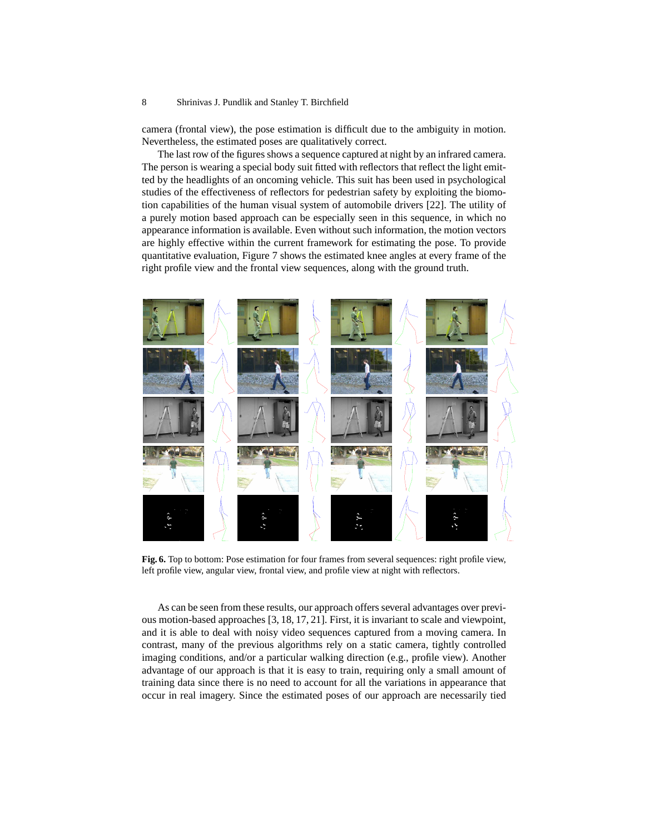#### 8 Shrinivas J. Pundlik and Stanley T. Birchfield

camera (frontal view), the pose estimation is difficult due to the ambiguity in motion. Nevertheless, the estimated poses are qualitatively correct.

The last row of the figures shows a sequence captured at night by an infrared camera. The person is wearing a special body suit fitted with reflectors that reflect the light emitted by the headlights of an oncoming vehicle. This suit has been used in psychological studies of the effectiveness of reflectors for pedestrian safety by exploiting the biomotion capabilities of the human visual system of automobile drivers [22]. The utility of a purely motion based approach can be especially seen in this sequence, in which no appearance information is available. Even without such information, the motion vectors are highly effective within the current framework for estimating the pose. To provide quantitative evaluation, Figure 7 shows the estimated knee angles at every frame of the right profile view and the frontal view sequences, along with the ground truth.



**Fig. 6.** Top to bottom: Pose estimation for four frames from several sequences: right profile view, left profile view, angular view, frontal view, and profile view at night with reflectors.

As can be seen from these results, our approach offers several advantages over previous motion-based approaches [3, 18, 17, 21]. First, it is invariant to scale and viewpoint, and it is able to deal with noisy video sequences captured from a moving camera. In contrast, many of the previous algorithms rely on a static camera, tightly controlled imaging conditions, and/or a particular walking direction (e.g., profile view). Another advantage of our approach is that it is easy to train, requiring only a small amount of training data since there is no need to account for all the variations in appearance that occur in real imagery. Since the estimated poses of our approach are necessarily tied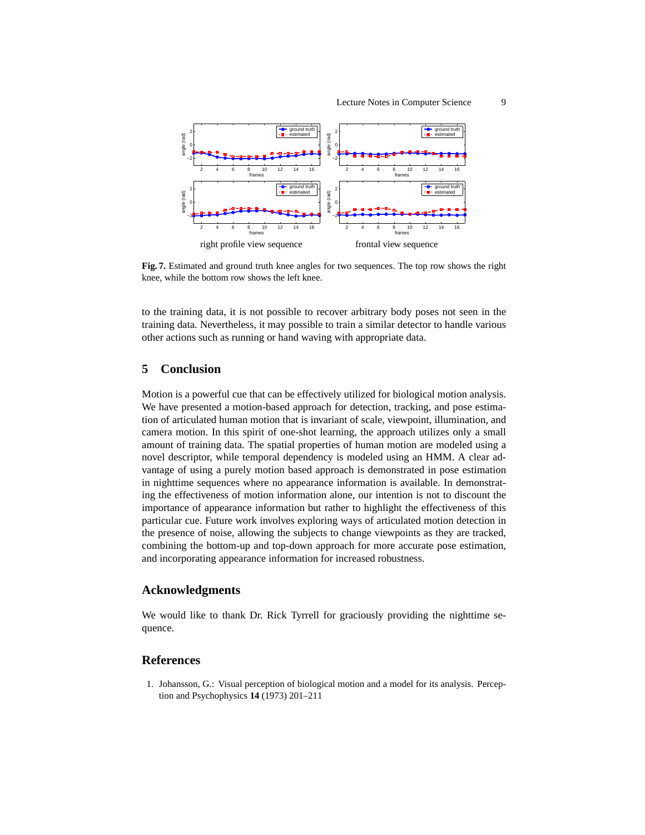

**Fig. 7.** Estimated and ground truth knee angles for two sequences. The top row shows the right knee, while the bottom row shows the left knee.

to the training data, it is not possible to recover arbitrary body poses not seen in the training data. Nevertheless, it may possible to train a similar detector to handle various other actions such as running or hand waving with appropriate data.

# **5 Conclusion**

Motion is a powerful cue that can be effectively utilized for biological motion analysis. We have presented a motion-based approach for detection, tracking, and pose estimation of articulated human motion that is invariant of scale, viewpoint, illumination, and camera motion. In this spirit of one-shot learning, the approach utilizes only a small amount of training data. The spatial properties of human motion are modeled using a novel descriptor, while temporal dependency is modeled using an HMM. A clear advantage of using a purely motion based approach is demonstrated in pose estimation in nighttime sequences where no appearance information is available. In demonstrating the effectiveness of motion information alone, our intention is not to discount the importance of appearance information but rather to highlight the effectiveness of this particular cue. Future work involves exploring ways of articulated motion detection in the presence of noise, allowing the subjects to change viewpoints as they are tracked, combining the bottom-up and top-down approach for more accurate pose estimation, and incorporating appearance information for increased robustness.

# **Acknowledgments**

We would like to thank Dr. Rick Tyrrell for graciously providing the nighttime sequence.

# **References**

1. Johansson, G.: Visual perception of biological motion and a model for its analysis. Perception and Psychophysics **14** (1973) 201–211